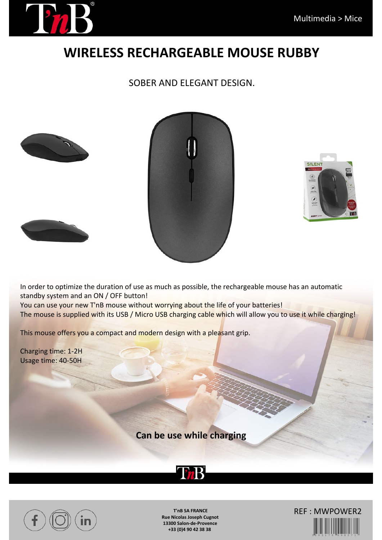

## **WIRELESS RECHARGEABLE MOUSE RUBBY**

## SOBER AND ELEGANT DESIGN.







In order to optimize the duration of use as much as possible, the rechargeable mouse has an automatic standby system and an ON / OFF button! You can use your new T'nB mouse without worrying about the life of your batteries! The mouse is supplied with its USB / Micro USB charging cable which will allow you to use it while charging!

This mouse offers you a compact and modern design with a pleasant grip.

Charging time: 1-2H Usage time: 40-50H

**Can be use while charging**





**T'nB SA FRANCE Rue Nicolas Joseph Cugnot 13300 Salon-de-Provence +33 (0)4 90 42 38 38**